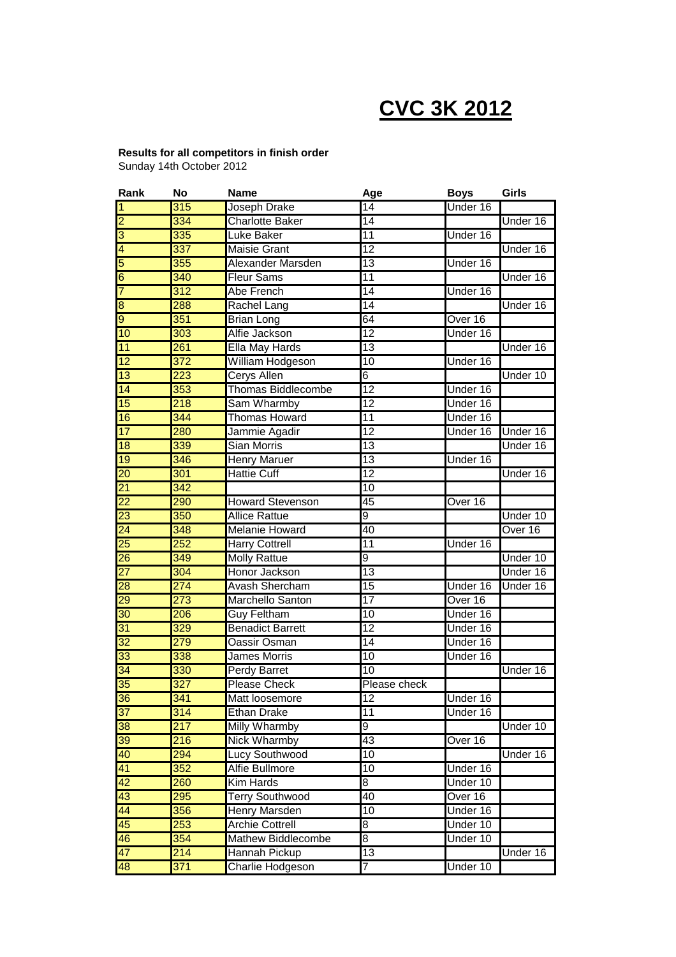# **CVC 3K 2012**

# **Results for all competitors in finish order**

Sunday 14th October 2012

| Rank            | No               | <b>Name</b>               | Age             | <b>Boys</b> | Girls    |
|-----------------|------------------|---------------------------|-----------------|-------------|----------|
| 1               | $\overline{315}$ | Joseph Drake              | 14              | Under 16    |          |
| $\overline{2}$  | 334              | <b>Charlotte Baker</b>    | 14              |             | Under 16 |
| $\overline{3}$  | 335              | Luke Baker                | 11              | Under 16    |          |
| $\overline{4}$  | 337              | <b>Maisie Grant</b>       | $\overline{12}$ |             | Under 16 |
| 5               | 355              | Alexander Marsden         | 13              | Under 16    |          |
| $\overline{6}$  | 340              | <b>Fleur Sams</b>         | $\overline{11}$ |             | Under 16 |
| 7               | $\overline{312}$ | Abe French                | 14              | Under 16    |          |
| ø               | 288              | <b>Rachel Lang</b>        | 14              |             | Under 16 |
| $\overline{9}$  | 351              | <b>Brian Long</b>         | 64              | Over 16     |          |
| 10              | $\overline{303}$ | Alfie Jackson             | $\overline{12}$ | Under 16    |          |
| 11              | 261              | <b>Ella May Hards</b>     | 13              |             | Under 16 |
| $\overline{12}$ | $\overline{372}$ | William Hodgeson          | 10              | Under 16    |          |
| $\overline{13}$ | 223              | <b>Cerys Allen</b>        | 6               |             | Under 10 |
| 14              | $\overline{353}$ | <b>Thomas Biddlecombe</b> | $\overline{12}$ | Under 16    |          |
| 15              | 218              | Sam Wharmby               | $\overline{12}$ | Under 16    |          |
| 16              | 344              | <b>Thomas Howard</b>      | 11              | Under 16    |          |
| 17              | 280              | Jammie Agadir             | $\overline{12}$ | Under 16    | Under 16 |
| 18              | 339              | <b>Sian Morris</b>        | $\overline{13}$ |             | Under 16 |
| 19              | 346              | Henry Maruer              | 13              | Under 16    |          |
| 20              | 301              | <b>Hattie Cuff</b>        | $\overline{12}$ |             | Under 16 |
| $\overline{21}$ | $\overline{342}$ |                           | 10              |             |          |
| $\overline{22}$ | 290              | <b>Howard Stevenson</b>   | 45              | Over 16     |          |
| 23              | $\overline{350}$ | <b>Allice Rattue</b>      | $\overline{9}$  |             | Under 10 |
| $\overline{24}$ | $\overline{348}$ | <b>Melanie Howard</b>     | 40              |             | Over 16  |
| 25              | 252              | <b>Harry Cottrell</b>     | 11              | Under 16    |          |
| $\overline{26}$ | 349              | <b>Molly Rattue</b>       | 9               |             | Under 10 |
| $\overline{27}$ | 304              | Honor Jackson             | $\overline{13}$ |             | Under 16 |
| 28              | 274              | <b>Avash Shercham</b>     | 15              | Under 16    | Under 16 |
| 29              | 273              | Marchello Santon          | 17              | Over 16     |          |
| $\overline{30}$ | 206              | <b>Guy Feltham</b>        | 10              | Under 16    |          |
| 31              | 329              | <b>Benadict Barrett</b>   | $\overline{12}$ | Under 16    |          |
| $\overline{32}$ | 279              | <b>Oassir Osman</b>       | 14              | Under 16    |          |
| 33              | 338              | <b>James Morris</b>       | 10              | Under 16    |          |
| $\overline{34}$ | 330              | <b>Perdy Barret</b>       | 10              |             | Under 16 |
| 35              | $\overline{327}$ | <b>Please Check</b>       | Please check    |             |          |
| 36              | 341              | Matt loosemore            | 12              | Under 16    |          |
| 37              | 314              | <b>Ethan Drake</b>        | 11              | Under 16    |          |
| 38              | $\overline{217}$ | <b>Milly Wharmby</b>      | 9               |             | Under 10 |
| 39              | 216              | <b>Nick Wharmby</b>       | 43              | Over 16     |          |
| 40              | 294              | Lucy Southwood            | 10              |             | Under 16 |
| 41              | 352              | <b>Alfie Bullmore</b>     | 10              | Under 16    |          |
| 42              | 260              | <b>Kim Hards</b>          | 8               | Under 10    |          |
| 43              | 295              | <b>Terry Southwood</b>    | $\overline{40}$ | Over 16     |          |
| 44              | 356              | Henry Marsden             | $\overline{10}$ | Under 16    |          |
| 45              | 253              | <b>Archie Cottrell</b>    | 8               | Under 10    |          |
| 46              | 354              | Mathew Biddlecombe        | 8               | Under 10    |          |
| 47              | 214              | Hannah Pickup             | $\overline{13}$ |             | Under 16 |
| 48              | $\overline{371}$ | Charlie Hodgeson          | 7               | Under 10    |          |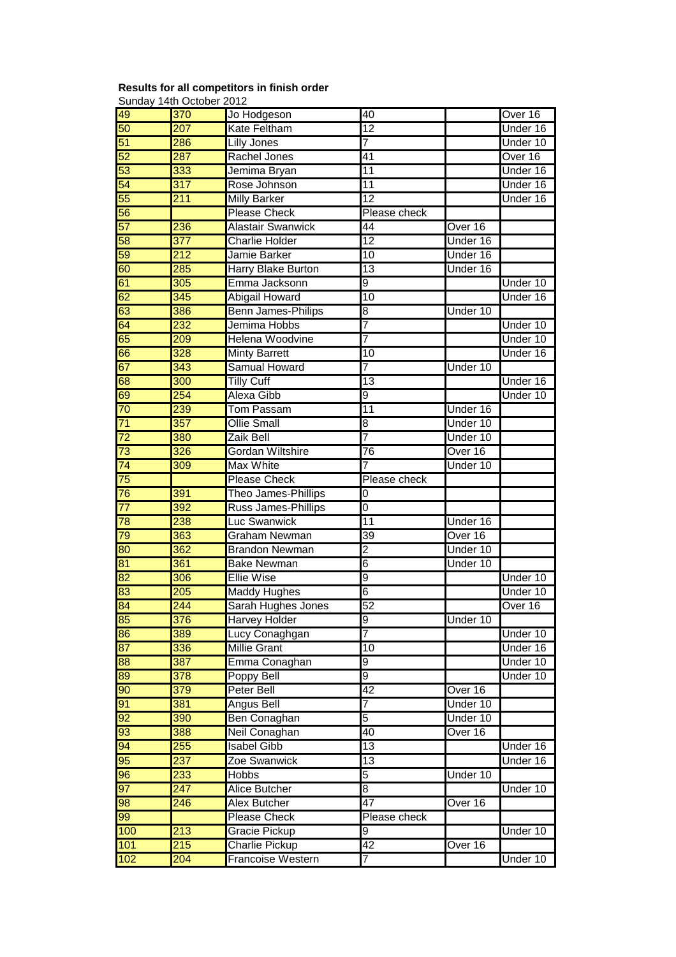## **Results for all competitors in finish order**

|                       | Sunday 14th October 2012 |                                                   |                 |          |          |
|-----------------------|--------------------------|---------------------------------------------------|-----------------|----------|----------|
| 49                    | 370                      | Jo Hodgeson                                       | 40              |          | Over 16  |
| 50                    | 207                      | <b>Kate Feltham</b>                               | $\overline{12}$ |          | Under 16 |
| 51                    | 286                      | <b>Lilly Jones</b>                                | 7               |          | Under 10 |
| 52                    | 287                      | Rachel Jones                                      | 41              |          | Over 16  |
| 53                    | 333                      | Jemima Bryan                                      | 11              |          | Under 16 |
| 54                    | $\overline{317}$         | Rose Johnson                                      | 11              |          | Under 16 |
| 55                    | 211                      | <b>Milly Barker</b>                               | 12              |          | Under 16 |
| 56                    |                          | <b>Please Check</b>                               | Please check    |          |          |
| 57                    | 236                      | <b>Alastair Swanwick</b>                          | $\overline{44}$ | Over 16  |          |
| 58                    | 377                      | <b>Charlie Holder</b>                             | $\overline{12}$ | Under 16 |          |
| 59                    | 212                      | Jamie Barker                                      | 10              | Under 16 |          |
| 60                    | 285                      | Harry Blake Burton                                | 13              | Under 16 |          |
| 61                    | 305                      | Emma Jacksonn                                     | 9               |          | Under 10 |
| 62                    | 345                      | Abigail Howard                                    | 10              |          | Under 16 |
| 63                    | 386                      | <b>Benn James-Philips</b>                         | 8               | Under 10 |          |
| 64                    | 232                      | Jemima Hobbs                                      | 7               |          | Under 10 |
| 65                    | 209                      | <b>Helena Woodvine</b>                            | $\overline{7}$  |          | Under 10 |
| 66                    | 328                      | <b>Minty Barrett</b>                              | 10              |          | Under 16 |
| 67                    | $\overline{343}$         | <b>Samual Howard</b>                              | $\overline{7}$  | Under 10 |          |
| 68                    | 300                      | <b>Tilly Cuff</b>                                 | 13              |          | Under 16 |
| 69                    | 254                      | Alexa Gibb                                        | 9               |          | Under 10 |
| 70                    | 239                      | <b>Tom Passam</b>                                 | $\overline{11}$ | Under 16 |          |
| $\overline{71}$       | $\overline{357}$         | <b>Ollie Small</b>                                | 8               | Under 10 |          |
| $\overline{72}$       | 380                      | Zaik Bell                                         | $\overline{7}$  | Under 10 |          |
| $\overline{73}$       | 326                      | <b>Gordan Wiltshire</b>                           | $\overline{76}$ | Over 16  |          |
| 74                    | 309                      | <b>Max White</b>                                  | 7               | Under 10 |          |
| $\overline{75}$       |                          | <b>Please Check</b>                               | Please check    |          |          |
| 76                    | 391                      | Theo James-Phillips                               | $\overline{0}$  |          |          |
| $\overline{77}$       | 392                      | Russ James-Phillips                               | $\overline{0}$  |          |          |
| 78                    | 238                      | Luc Swanwick                                      | $\overline{11}$ | Under 16 |          |
| 79                    | 363                      | Graham Newman                                     | 39              | Over 16  |          |
| 80                    | 362                      | <b>Brandon Newman</b>                             | $\overline{2}$  | Under 10 |          |
| 81                    | 361                      | <b>Bake Newman</b>                                | 6               | Under 10 |          |
| 82                    | 306                      | <b>Ellie Wise</b>                                 | 9               |          | Under 10 |
| 83                    | 205                      | <b>Maddy Hughes</b>                               | 6               |          | Under 10 |
| 84                    | 244                      | Sarah Hughes Jones                                | 52              |          | Over 16  |
| 85                    | 376                      | <b>Harvey Holder</b>                              | 9               | Under 10 |          |
| 86                    | 389                      | Lucy Conaghgan                                    | 7               |          | Under 10 |
| $\overline{87}$       | 336                      | <b>Millie Grant</b>                               | 10              |          | Under 16 |
| 88                    | 387                      | Emma Conaghan                                     | 9               |          | Under 10 |
| $\overline{8}$        | $\overline{378}$         | Poppy Bell                                        | 9               |          | Under 10 |
| $\overline{90}$       | 379                      | <b>Peter Bell</b>                                 | 42              | Over 16  |          |
| 91                    | 381                      | <b>Angus Bell</b>                                 | $\overline{7}$  | Under 10 |          |
| $\overline{92}$       | 390                      | Ben Conaghan                                      | 5               | Under 10 |          |
| 93                    | 388                      | Neil Conaghan                                     | 40              | Over 16  |          |
| 94                    | 255                      | <b>Isabel Gibb</b>                                | $\overline{13}$ |          | Under 16 |
| 95                    | 237                      | Zoe Swanwick                                      | $\overline{13}$ |          | Under 16 |
|                       |                          | Hobbs                                             | 5               | Under 10 |          |
|                       |                          |                                                   |                 |          |          |
| $\overline{96}$       | 233                      |                                                   |                 |          |          |
| 97                    | $\sqrt{247}$             | Alice Butcher                                     | 8               |          | Under 10 |
| $\overline{\text{8}}$ | 246                      | <b>Alex Butcher</b>                               | $\overline{47}$ | Over 16  |          |
| 99                    |                          | <b>Please Check</b>                               | Please check    |          |          |
| 100                   | 213                      | Gracie Pickup                                     | 9               |          | Under 10 |
| 101<br>102            | 215<br>204               | <b>Charlie Pickup</b><br><b>Francoise Western</b> | 42<br>7         | Over 16  | Under 10 |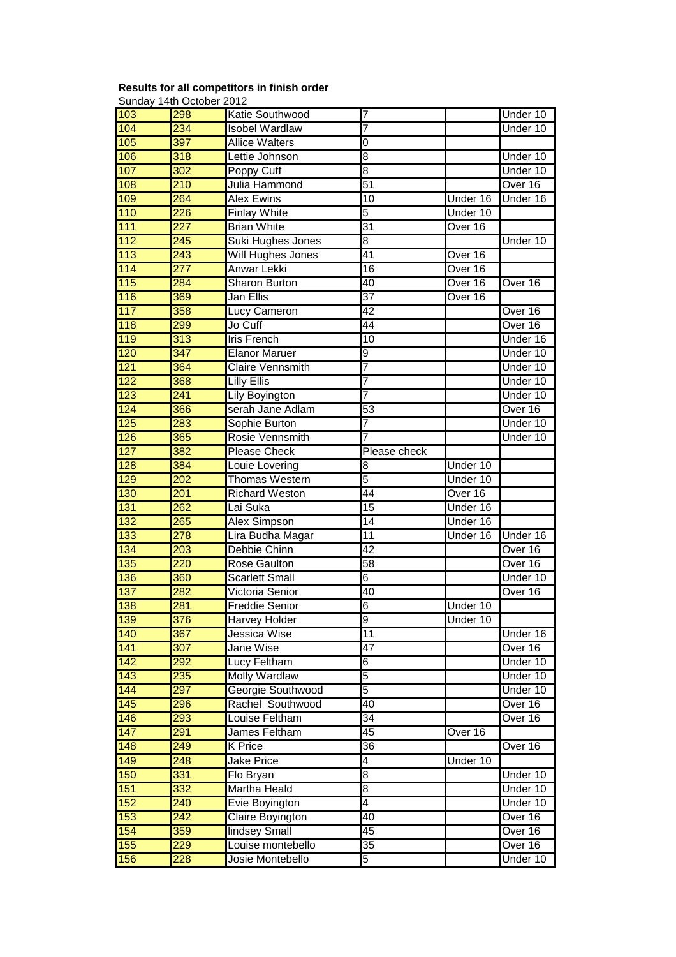### **Results for all competitors in finish order**

Sunday 14th October 2012 103 298 Katie Southwood 7 Under 10 104 234 Isobel Wardlaw 7 Under 10 105 397 Allice Walters 0 106 318 Lettie Johnson 8 8 Vietname 10 107 302 Poppy Cuff 8 and 8 Under 10 108 210 Julia Hammond 51 **Dual 1986** Over 16 109 264 Alex Ewins 10 Under 16 Under 16 110 226 Finlay White 5 5 Under 10 111 227 Brian White 31 Over 16 112 245 Suki Hughes Jones 8 8 | Under 10 113 243 Will Hughes Jones 41 Over 16 114 277 Anwar Lekki 16 16 Over 16 115 284 Sharon Burton 140 Qver 16 Over 16 116 369 Jan Ellis 37 | Over 16 117 358 Lucy Cameron 42 Alexander 16 118 299 Jo Cuff 44 Over 16 119 313 Iris French 10 II Under 16 120 347 Elanor Maruer 9 9 I Under 10 121 **364** Claire Vennsmith 7 **Product 10** Under 10 122 368 Lilly Ellis 7 I Under 10 123 241 Lily Boyington 7 7 Under 10 124 366 serah Jane Adlam 53 MB over 16 125 283 Sophie Burton 7 7 Under 10 126 365 Rosie Vennsmith 7 Under 10 127 382 Please Check Please check 128 384 Louie Lovering 8 128 Under 10 129 202 Thomas Western 5 5 Under 10 130 201 Richard Weston 44 Over 16 131 262 Lai Suka 15 Vinder 16 132 265 Alex Simpson 14 Under 16 133 278 Lira Budha Magar 11 Under 16 Under 16 134 203 Debbie Chinn 42 42 Over 16 135 220 Rose Gaulton 58 135 Over 16 136 360 Scarlett Small 6 6 Under 10 137 282 Victoria Senior 40 40 Over 16 138 281 Freddie Senior 6 Under 10 139 376 Harvey Holder 9 9 Under 10 140 **367** Jessica Wise 11 **Julie 16** Under 16 141 **307 Jane Wise 147 And All All Alt Ave 16** Over 16 142 292 Lucy Feltham 6 6 Metal 10 143 235 Molly Wardlaw 5 5 June 10 144 297 Georgie Southwood 5 Vietname 10 145 296 Rachel Southwood 40 and Over 16 146 293 Louise Feltham 34 I Over 16 147 291 James Feltham 145 Qver 16 148 249 K Price 26 36 36 Over 16 149 248 Jake Price 14 Junder 10 150 331 Flo Bryan 8 8 I Under 10 151 332 Martha Heald 8 8 Under 10 152 240 Evie Boyington 4 4 Under 10 153 242 Claire Boyington 40 40 Over 16 154 359 lindsey Small 45 45 Dver 16 155 229 Louise montebello 35 and Over 16 156 228 Josie Montebello 5 Under 10